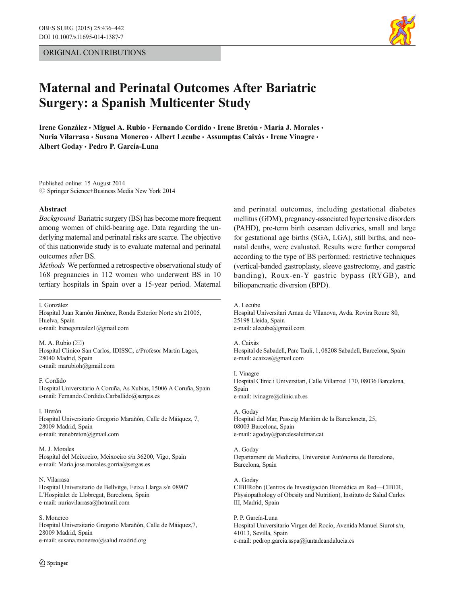# ORIGINAL CONTRIBUTIONS



# Maternal and Perinatal Outcomes After Bariatric Surgery: a Spanish Multicenter Study

Irene González • Miguel A. Rubio • Fernando Cordido • Irene Bretón • María J. Morales • Nuria Vilarrasa · Susana Monereo · Albert Lecube · Assumptas Caixàs · Irene Vinagre · Albert Goday & Pedro P. García-Luna

Published online: 15 August 2014  $\circled{c}$  Springer Science+Business Media New York 2014

#### Abstract

Background Bariatric surgery (BS) has become more frequent among women of child-bearing age. Data regarding the underlying maternal and perinatal risks are scarce. The objective of this nationwide study is to evaluate maternal and perinatal outcomes after BS.

Methods We performed a retrospective observational study of 168 pregnancies in 112 women who underwent BS in 10 tertiary hospitals in Spain over a 15-year period. Maternal

I. González

Hospital Juan Ramón Jiménez, Ronda Exterior Norte s/n 21005, Huelva, Spain e-mail: Irenegonzalez1@gmail.com

M. A. Rubio  $(\boxtimes)$ Hospital Clínico San Carlos, IDISSC, c/Profesor Martín Lagos, 28040 Madrid, Spain e-mail: marubioh@gmail.com

F. Cordido Hospital Universitario A Coruña, As Xubias, 15006 A Coruña, Spain e-mail: Fernando.Cordido.Carballido@sergas.es

#### I. Bretón

Hospital Universitario Gregorio Marañón, Calle de Máiquez, 7, 28009 Madrid, Spain e-mail: irenebreton@gmail.com

M. J. Morales Hospital del Meixoeiro, Meixoeiro s/n 36200, Vigo, Spain e-mail: Maria.jose.morales.gorria@sergas.es

#### N. Vilarrasa

Hospital Universitario de Bellvitge, Feixa Llarga s/n 08907 L'Hospitalet de Llobregat, Barcelona, Spain e-mail: nuriavilarrasa@hotmail.com

#### S. Monereo

Hospital Universitario Gregorio Marañón, Calle de Máiquez,7, 28009 Madrid, Spain e-mail: susana.monereo@salud.madrid.org

and perinatal outcomes, including gestational diabetes mellitus (GDM), pregnancy-associated hypertensive disorders (PAHD), pre-term birth cesarean deliveries, small and large for gestational age births (SGA, LGA), still births, and neonatal deaths, were evaluated. Results were further compared according to the type of BS performed: restrictive techniques (vertical-banded gastroplasty, sleeve gastrectomy, and gastric banding), Roux-en-Y gastric bypass (RYGB), and biliopancreatic diversion (BPD).

#### A. Lecube

Hospital Universitari Arnau de Vilanova, Avda. Rovira Roure 80, 25198 Lleida, Spain e-mail: alecube@gmail.com

#### A. Caixàs

Hospital de Sabadell, Parc Taulí, 1, 08208 Sabadell, Barcelona, Spain e-mail: acaixas@gmail.com

I. Vinagre Hospital Clínic i Universitari, Calle Villarroel 170, 08036 Barcelona, Spain e-mail: ivinagre@clinic.ub.es

A. Goday Hospital del Mar, Passeig Marítim de la Barceloneta, 25, 08003 Barcelona, Spain e-mail: agoday@parcdesalutmar.cat

A. Goday Departament de Medicina, Universitat Autònoma de Barcelona, Barcelona, Spain

### A. Goday

CIBERobn (Centros de Investigación Biomédica en Red—CIBER, Physiopathology of Obesity and Nutrition), Instituto de Salud Carlos III, Madrid, Spain

P. P. García-Luna Hospital Universitario Virgen del Rocío, Avenida Manuel Siurot s/n, 41013, Sevilla, Spain e-mail: pedrop.garcia.sspa@juntadeandalucia.es

 $\textcircled{2}$  Springer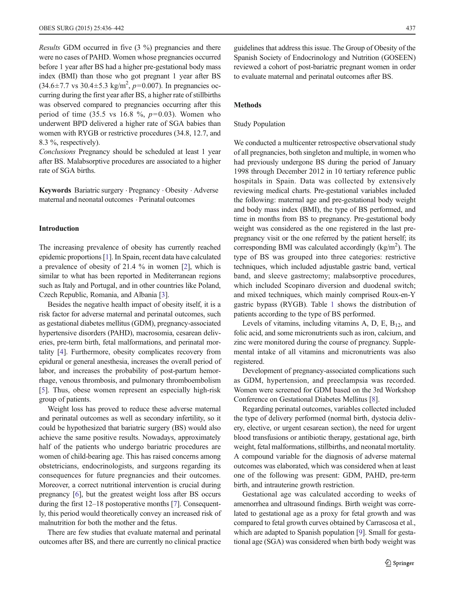Results GDM occurred in five (3 %) pregnancies and there were no cases of PAHD. Women whose pregnancies occurred before 1 year after BS had a higher pre-gestational body mass index (BMI) than those who got pregnant 1 year after BS  $(34.6 \pm 7.7 \text{ vs } 30.4 \pm 5.3 \text{ kg/m}^2, p=0.007)$ . In pregnancies occurring during the first year after BS, a higher rate of stillbirths was observed compared to pregnancies occurring after this period of time (35.5 vs 16.8 %,  $p=0.03$ ). Women who underwent BPD delivered a higher rate of SGA babies than women with RYGB or restrictive procedures (34.8, 12.7, and 8.3 %, respectively).

Conclusions Pregnancy should be scheduled at least 1 year after BS. Malabsorptive procedures are associated to a higher rate of SGA births.

Keywords Bariatric surgery . Pregnancy . Obesity . Adverse maternal and neonatal outcomes . Perinatal outcomes

# Introduction

The increasing prevalence of obesity has currently reached epidemic proportions [\[1\]](#page-5-0). In Spain, recent data have calculated a prevalence of obesity of 21.4 % in women [[2\]](#page-5-0), which is similar to what has been reported in Mediterranean regions such as Italy and Portugal, and in other countries like Poland, Czech Republic, Romania, and Albania [\[3](#page-5-0)].

Besides the negative health impact of obesity itself, it is a risk factor for adverse maternal and perinatal outcomes, such as gestational diabetes mellitus (GDM), pregnancy-associated hypertensive disorders (PAHD), macrosomia, cesarean deliveries, pre-term birth, fetal malformations, and perinatal mortality [\[4](#page-5-0)]. Furthermore, obesity complicates recovery from epidural or general anesthesia, increases the overall period of labor, and increases the probability of post-partum hemorrhage, venous thrombosis, and pulmonary thromboembolism [\[5](#page-5-0)]. Thus, obese women represent an especially high-risk group of patients.

Weight loss has proved to reduce these adverse maternal and perinatal outcomes as well as secondary infertility, so it could be hypothesized that bariatric surgery (BS) would also achieve the same positive results. Nowadays, approximately half of the patients who undergo bariatric procedures are women of child-bearing age. This has raised concerns among obstetricians, endocrinologists, and surgeons regarding its consequences for future pregnancies and their outcomes. Moreover, a correct nutritional intervention is crucial during pregnancy [\[6](#page-5-0)], but the greatest weight loss after BS occurs during the first 12–18 postoperative months [\[7\]](#page-5-0). Consequently, this period would theoretically convey an increased risk of malnutrition for both the mother and the fetus.

There are few studies that evaluate maternal and perinatal outcomes after BS, and there are currently no clinical practice guidelines that address this issue. The Group of Obesity of the Spanish Society of Endocrinology and Nutrition (GOSEEN) reviewed a cohort of post-bariatric pregnant women in order to evaluate maternal and perinatal outcomes after BS.

# Methods

## Study Population

We conducted a multicenter retrospective observational study of all pregnancies, both singleton and multiple, in women who had previously undergone BS during the period of January 1998 through December 2012 in 10 tertiary reference public hospitals in Spain. Data was collected by extensively reviewing medical charts. Pre-gestational variables included the following: maternal age and pre-gestational body weight and body mass index (BMI), the type of BS performed, and time in months from BS to pregnancy. Pre-gestational body weight was considered as the one registered in the last prepregnancy visit or the one referred by the patient herself; its corresponding BMI was calculated accordingly  $(kg/m<sup>2</sup>)$ . The type of BS was grouped into three categories: restrictive techniques, which included adjustable gastric band, vertical band, and sleeve gastrectomy; malabsorptive procedures, which included Scopinaro diversion and duodenal switch; and mixed techniques, which mainly comprised Roux-en-Y gastric bypass (RYGB). Table [1](#page-2-0) shows the distribution of patients according to the type of BS performed.

Levels of vitamins, including vitamins A, D, E,  $B_{12}$ , and folic acid, and some micronutrients such as iron, calcium, and zinc were monitored during the course of pregnancy. Supplemental intake of all vitamins and micronutrients was also registered.

Development of pregnancy-associated complications such as GDM, hypertension, and preeclampsia was recorded. Women were screened for GDM based on the 3rd Workshop Conference on Gestational Diabetes Mellitus [[8\]](#page-5-0).

Regarding perinatal outcomes, variables collected included the type of delivery performed (normal birth, dystocia delivery, elective, or urgent cesarean section), the need for urgent blood transfusions or antibiotic therapy, gestational age, birth weight, fetal malformations, stillbirths, and neonatal mortality. A compound variable for the diagnosis of adverse maternal outcomes was elaborated, which was considered when at least one of the following was present: GDM, PAHD, pre-term birth, and intrauterine growth restriction.

Gestational age was calculated according to weeks of amenorrhea and ultrasound findings. Birth weight was correlated to gestational age as a proxy for fetal growth and was compared to fetal growth curves obtained by Carrascosa et al., which are adapted to Spanish population [[9\]](#page-5-0). Small for gestational age (SGA) was considered when birth body weight was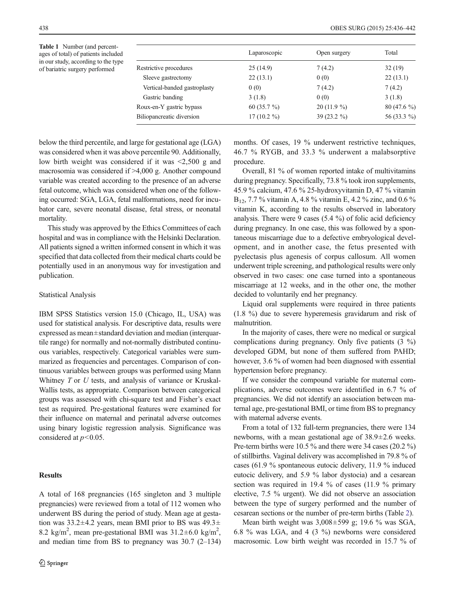<span id="page-2-0"></span>Table 1 Number (and percentages of total) of patients included in our study, according to the type of bariatric surgery performed

|                                  | Laparoscopic  | Open surgery  | Total        |
|----------------------------------|---------------|---------------|--------------|
| Restrictive procedures           | 25(14.9)      | 7(4.2)        | 32(19)       |
| Sleeve gastrectomy               | 22(13.1)      | 0(0)          | 22(13.1)     |
| Vertical-banded gastroplasty     | 0(0)          | 7(4.2)        | 7(4.2)       |
| Gastric banding                  | 3(1.8)        | 0(0)          | 3(1.8)       |
| Roux-en-Y gastric bypass         | 60 $(35.7\%)$ | $20(11.9\%)$  | $80(47.6\%)$ |
| <b>Biliopancreatic diversion</b> | $17(10.2\%)$  | 39 $(23.2\%)$ | 56 (33.3 %)  |

below the third percentile, and large for gestational age (LGA) was considered when it was above percentile 90. Additionally, low birth weight was considered if it was <2,500 g and macrosomia was considered if >4,000 g. Another compound variable was created according to the presence of an adverse fetal outcome, which was considered when one of the following occurred: SGA, LGA, fetal malformations, need for incubator care, severe neonatal disease, fetal stress, or neonatal mortality.

This study was approved by the Ethics Committees of each hospital and was in compliance with the Helsinki Declaration. All patients signed a written informed consent in which it was specified that data collected from their medical charts could be potentially used in an anonymous way for investigation and publication.

## Statistical Analysis

IBM SPSS Statistics version 15.0 (Chicago, IL, USA) was used for statistical analysis. For descriptive data, results were expressed as mean±standard deviation and median (interquartile range) for normally and not-normally distributed continuous variables, respectively. Categorical variables were summarized as frequencies and percentages. Comparison of continuous variables between groups was performed using Mann Whitney  $T$  or  $U$  tests, and analysis of variance or Kruskal-Wallis tests, as appropriate. Comparison between categorical groups was assessed with chi-square test and Fisher's exact test as required. Pre-gestational features were examined for their influence on maternal and perinatal adverse outcomes using binary logistic regression analysis. Significance was considered at  $p<0.05$ .

## Results

A total of 168 pregnancies (165 singleton and 3 multiple pregnancies) were reviewed from a total of 112 women who underwent BS during the period of study. Mean age at gestation was  $33.2 \pm 4.2$  years, mean BMI prior to BS was  $49.3 \pm$ 8.2 kg/m<sup>2</sup>, mean pre-gestational BMI was  $31.2 \pm 6.0$  kg/m<sup>2</sup>, and median time from BS to pregnancy was 30.7 (2–134) months. Of cases, 19 % underwent restrictive techniques, 46.7 % RYGB, and 33.3 % underwent a malabsorptive procedure.

Overall, 81 % of women reported intake of multivitamins during pregnancy. Specifically, 73.8 % took iron supplements, 45.9 % calcium, 47.6 % 25-hydroxyvitamin D, 47 % vitamin B12, 7.7 % vitamin A, 4.8 % vitamin E, 4.2 % zinc, and 0.6 % vitamin K, according to the results observed in laboratory analysis. There were 9 cases (5.4 %) of folic acid deficiency during pregnancy. In one case, this was followed by a spontaneous miscarriage due to a defective embryological development, and in another case, the fetus presented with pyelectasis plus agenesis of corpus callosum. All women underwent triple screening, and pathological results were only observed in two cases: one case turned into a spontaneous miscarriage at 12 weeks, and in the other one, the mother decided to voluntarily end her pregnancy.

Liquid oral supplements were required in three patients (1.8 %) due to severe hyperemesis gravidarum and risk of malnutrition.

In the majority of cases, there were no medical or surgical complications during pregnancy. Only five patients (3 %) developed GDM, but none of them suffered from PAHD; however, 3.6 % of women had been diagnosed with essential hypertension before pregnancy.

If we consider the compound variable for maternal complications, adverse outcomes were identified in 6.7 % of pregnancies. We did not identify an association between maternal age, pre-gestational BMI, or time from BS to pregnancy with maternal adverse events.

From a total of 132 full-term pregnancies, there were 134 newborns, with a mean gestational age of 38.9±2.6 weeks. Pre-term births were 10.5 % and there were 34 cases (20.2 %) of stillbirths. Vaginal delivery was accomplished in 79.8 % of cases (61.9 % spontaneous eutocic delivery, 11.9 % induced eutocic delivery, and 5.9 % labor dystocia) and a cesarean section was required in 19.4 % of cases (11.9 % primary elective, 7.5 % urgent). We did not observe an association between the type of surgery performed and the number of cesarean sections or the number of pre-term births (Table [2](#page-3-0)).

Mean birth weight was 3,008±599 g; 19.6 % was SGA, 6.8 % was LGA, and 4 (3 %) newborns were considered macrosomic. Low birth weight was recorded in 15.7 % of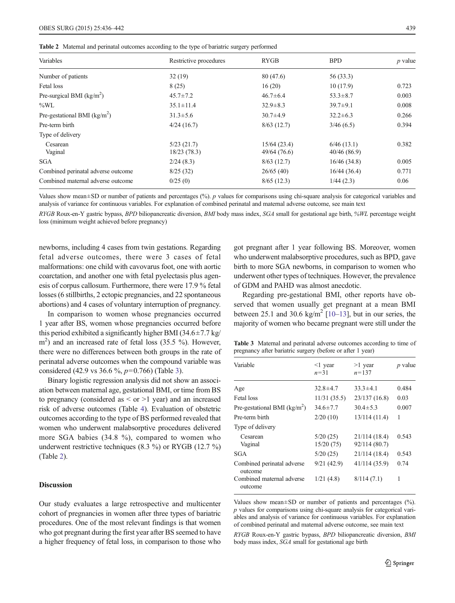<span id="page-3-0"></span>

| Variables                               | Restrictive procedures    | <b>RYGB</b>                 | <b>BPD</b>                | $p$ value |
|-----------------------------------------|---------------------------|-----------------------------|---------------------------|-----------|
| Number of patients                      | 32(19)                    | 80 (47.6)                   | 56 (33.3)                 |           |
| Fetal loss                              | 8(25)                     | 16(20)                      | 10(17.9)                  | 0.723     |
| Pre-surgical BMI $(kg/m2)$              | $45.7 \pm 7.2$            | $46.7 \pm 6.4$              | $53.3 \pm 8.7$            | 0.003     |
| $\%$ WL                                 | $35.1 \pm 11.4$           | $32.9 \pm 8.3$              | $39.7 \pm 9.1$            | 0.008     |
| Pre-gestational BMI ( $\text{kg/m}^2$ ) | $31.3 \pm 5.6$            | $30.7 \pm 4.9$              | $32.2 \pm 6.3$            | 0.266     |
| Pre-term birth                          | 4/24(16.7)                | 8/63(12.7)                  | 3/46(6.5)                 | 0.394     |
| Type of delivery                        |                           |                             |                           |           |
| Cesarean<br>Vaginal                     | 5/23(21.7)<br>18/23(78.3) | 15/64(23.4)<br>49/64 (76.6) | 6/46(13.1)<br>40/46(86.9) | 0.382     |
| <b>SGA</b>                              | 2/24(8.3)                 | 8/63(12.7)                  | 16/46(34.8)               | 0.005     |
| Combined perinatal adverse outcome      | 8/25(32)                  | 26/65(40)                   | 16/44(36.4)               | 0.771     |
| Combined maternal adverse outcome       | 0/25(0)                   | 8/65(12.3)                  | 1/44(2.3)                 | 0.06      |

Values show mean $\pm$ SD or number of patients and percentages (%). p values for comparisons using chi-square analysis for categorical variables and analysis of variance for continuous variables. For explanation of combined perinatal and maternal adverse outcome, see main text

RYGB Roux-en-Y gastric bypass, BPD biliopancreatic diversion, BMI body mass index, SGA small for gestational age birth, %WL percentage weight loss (minimum weight achieved before pregnancy)

newborns, including 4 cases from twin gestations. Regarding fetal adverse outcomes, there were 3 cases of fetal malformations: one child with cavovarus foot, one with aortic coarctation, and another one with fetal pyelectasis plus agenesis of corpus callosum. Furthermore, there were 17.9 % fetal losses (6 stillbirths, 2 ectopic pregnancies, and 22 spontaneous abortions) and 4 cases of voluntary interruption of pregnancy.

In comparison to women whose pregnancies occurred 1 year after BS, women whose pregnancies occurred before this period exhibited a significantly higher BMI ( $34.6 \pm 7.7$  kg/ m<sup>2</sup>) and an increased rate of fetal loss (35.5 %). However, there were no differences between both groups in the rate of perinatal adverse outcomes when the compound variable was considered (42.9 vs 36.6 %, p=0.766) (Table 3).

Binary logistic regression analysis did not show an association between maternal age, gestational BMI, or time from BS to pregnancy (considered as  $\le$  or  $>1$  year) and an increased risk of adverse outcomes (Table [4\)](#page-4-0). Evaluation of obstetric outcomes according to the type of BS performed revealed that women who underwent malabsorptive procedures delivered more SGA babies (34.8 %), compared to women who underwent restrictive techniques (8.3 %) or RYGB (12.7 %) (Table 2).

# **Discussion**

Our study evaluates a large retrospective and multicenter cohort of pregnancies in women after three types of bariatric procedures. One of the most relevant findings is that women who got pregnant during the first year after BS seemed to have a higher frequency of fetal loss, in comparison to those who got pregnant after 1 year following BS. Moreover, women who underwent malabsorptive procedures, such as BPD, gave birth to more SGA newborns, in comparison to women who underwent other types of techniques. However, the prevalence of GDM and PAHD was almost anecdotic.

Regarding pre-gestational BMI, other reports have observed that women usually get pregnant at a mean BMI between 25.1 and 30.6 kg/m<sup>2</sup> [\[10](#page-5-0)–[13\]](#page-5-0), but in our series, the majority of women who became pregnant were still under the

Table 3 Maternal and perinatal adverse outcomes according to time of pregnancy after bariatric surgery (before or after 1 year)

| Variable                              | $\leq$ 1 year<br>$n = 31$ | $>1$ year<br>$n = 137$         | <i>p</i> value |
|---------------------------------------|---------------------------|--------------------------------|----------------|
| Age                                   | $32.8 \pm 4.7$            | $33.3 \pm 4.1$                 | 0.484          |
| Fetal loss                            | 11/31(35.5)               | 23/137 (16.8)                  | 0.03           |
| Pre-gestational BMI ( $kg/m2$ )       | $34.6 \pm 7.7$            | $30.4 \pm 5.3$                 | 0.007          |
| Pre-term birth                        | 2/20(10)                  | 13/114(11.4)                   | 1              |
| Type of delivery                      |                           |                                |                |
| Cesarean<br>Vaginal                   | 5/20(25)<br>15/20(75)     | 21/114 (18.4)<br>92/114 (80.7) | 0.543          |
| SGA                                   | 5/20(25)                  | 21/114 (18.4)                  | 0.543          |
| Combined perinatal adverse<br>outcome | 9/21(42.9)                | 41/114 (35.9)                  | 0.74           |
| Combined maternal adverse<br>outcome  | 1/21(4.8)                 | 8/114(7.1)                     | 1              |

Values show mean±SD or number of patients and percentages (%). p values for comparisons using chi-square analysis for categorical variables and analysis of variance for continuous variables. For explanation of combined perinatal and maternal adverse outcome, see main text

RYGB Roux-en-Y gastric bypass, BPD biliopancreatic diversion, BMI body mass index, SGA small for gestational age birth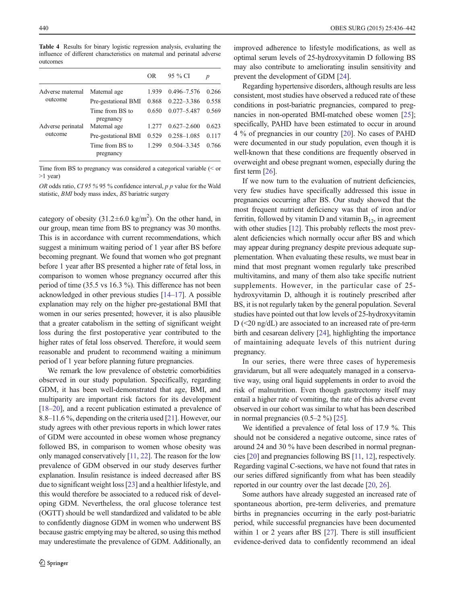<span id="page-4-0"></span>Table 4 Results for binary logistic regression analysis, evaluating the influence of different characteristics on maternal and perinatal adverse outcomes

|                              |                              | OR     | 95 % CI         | $\boldsymbol{p}$ |
|------------------------------|------------------------------|--------|-----------------|------------------|
| Adverse maternal<br>outcome  | Maternal age                 | 1.939  | 0.496-7.576     | 0.266            |
|                              | Pre-gestational BMI          | 0.868  | $0.222 - 3.386$ | 0.558            |
|                              | Time from BS to<br>pregnancy | 0.650  | $0.077 - 5.487$ | 0.569            |
| Adverse perinatal<br>outcome | Maternal age                 | 1.2.77 | $0.627 - 2.600$ | 0.623            |
|                              | Pre-gestational BMI          | 0.529  | $0.258 - 1.085$ | 0.117            |
|                              | Time from BS to<br>pregnancy | 1.299  | $0.504 - 3.345$ | 0.766            |

Time from BS to pregnancy was considered a categorical variable (< or >1 year)

OR odds ratio, CI 95 % 95 % confidence interval,  $p$   $p$  value for the Wald statistic, BMI body mass index, BS bariatric surgery

category of obesity  $(31.2 \pm 6.0 \text{ kg/m}^2)$ . On the other hand, in our group, mean time from BS to pregnancy was 30 months. This is in accordance with current recommendations, which suggest a minimum waiting period of 1 year after BS before becoming pregnant. We found that women who got pregnant before 1 year after BS presented a higher rate of fetal loss, in comparison to women whose pregnancy occurred after this period of time (35.5 vs 16.3 %). This difference has not been acknowledged in other previous studies [[14](#page-5-0)–[17](#page-6-0)]. A possible explanation may rely on the higher pre-gestational BMI that women in our series presented; however, it is also plausible that a greater catabolism in the setting of significant weight loss during the first postoperative year contributed to the higher rates of fetal loss observed. Therefore, it would seem reasonable and prudent to recommend waiting a minimum period of 1 year before planning future pregnancies.

We remark the low prevalence of obstetric comorbidities observed in our study population. Specifically, regarding GDM, it has been well-demonstrated that age, BMI, and multiparity are important risk factors for its development [\[18](#page-6-0)–[20\]](#page-6-0), and a recent publication estimated a prevalence of 8.8–11.6 %, depending on the criteria used [\[21\]](#page-6-0). However, our study agrees with other previous reports in which lower rates of GDM were accounted in obese women whose pregnancy followed BS, in comparison to women whose obesity was only managed conservatively [[11](#page-5-0), [22\]](#page-6-0). The reason for the low prevalence of GDM observed in our study deserves further explanation. Insulin resistance is indeed decreased after BS due to significant weight loss [\[23](#page-6-0)] and a healthier lifestyle, and this would therefore be associated to a reduced risk of developing GDM. Nevertheless, the oral glucose tolerance test (OGTT) should be well standardized and validated to be able to confidently diagnose GDM in women who underwent BS because gastric emptying may be altered, so using this method may underestimate the prevalence of GDM. Additionally, an

improved adherence to lifestyle modifications, as well as optimal serum levels of 25-hydroxyvitamin D following BS may also contribute to ameliorating insulin sensitivity and prevent the development of GDM [\[24](#page-6-0)].

Regarding hypertensive disorders, although results are less consistent, most studies have observed a reduced rate of these conditions in post-bariatric pregnancies, compared to preg-nancies in non-operated BMI-matched obese women [[25](#page-6-0)]; specifically, PAHD have been estimated to occur in around 4 % of pregnancies in our country [[20](#page-6-0)]. No cases of PAHD were documented in our study population, even though it is well-known that these conditions are frequently observed in overweight and obese pregnant women, especially during the first term [\[26](#page-6-0)].

If we now turn to the evaluation of nutrient deficiencies, very few studies have specifically addressed this issue in pregnancies occurring after BS. Our study showed that the most frequent nutrient deficiency was that of iron and/or ferritin, followed by vitamin D and vitamin  $B_{12}$ , in agreement with other studies [\[12](#page-5-0)]. This probably reflects the most prevalent deficiencies which normally occur after BS and which may appear during pregnancy despite previous adequate supplementation. When evaluating these results, we must bear in mind that most pregnant women regularly take prescribed multivitamins, and many of them also take specific nutrient supplements. However, in the particular case of 25 hydroxyvitamin D, although it is routinely prescribed after BS, it is not regularly taken by the general population. Several studies have pointed out that low levels of 25-hydroxyvitamin D (<20 ng/dL) are associated to an increased rate of pre-term birth and cesarean delivery [[24](#page-6-0)], highlighting the importance of maintaining adequate levels of this nutrient during pregnancy.

In our series, there were three cases of hyperemesis gravidarum, but all were adequately managed in a conservative way, using oral liquid supplements in order to avoid the risk of malnutrition. Even though gastrectomy itself may entail a higher rate of vomiting, the rate of this adverse event observed in our cohort was similar to what has been described in normal pregnancies  $(0.5-2 \%)$  [\[25\]](#page-6-0).

We identified a prevalence of fetal loss of 17.9 %. This should not be considered a negative outcome, since rates of around 24 and 30 % have been described in normal pregnancies [\[20](#page-6-0)] and pregnancies following BS [\[11,](#page-5-0) [12](#page-5-0)], respectively. Regarding vaginal C-sections, we have not found that rates in our series differed significantly from what has been steadily reported in our country over the last decade [[20,](#page-6-0) [26](#page-6-0)].

Some authors have already suggested an increased rate of spontaneous abortion, pre-term deliveries, and premature births in pregnancies occurring in the early post-bariatric period, while successful pregnancies have been documented within 1 or 2 years after BS [\[27](#page-6-0)]. There is still insufficient evidence-derived data to confidently recommend an ideal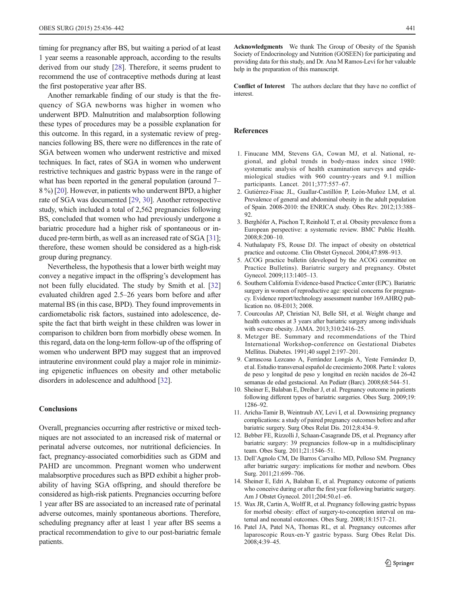<span id="page-5-0"></span>timing for pregnancy after BS, but waiting a period of at least 1 year seems a reasonable approach, according to the results derived from our study [[28\]](#page-6-0). Therefore, it seems prudent to recommend the use of contraceptive methods during at least the first postoperative year after BS.

Another remarkable finding of our study is that the frequency of SGA newborns was higher in women who underwent BPD. Malnutrition and malabsorption following these types of procedures may be a possible explanation for this outcome. In this regard, in a systematic review of pregnancies following BS, there were no differences in the rate of SGA between women who underwent restrictive and mixed techniques. In fact, rates of SGA in women who underwent restrictive techniques and gastric bypass were in the range of what has been reported in the general population (around 7– 8 %) [\[20](#page-6-0)]. However, in patients who underwent BPD, a higher rate of SGA was documented [[29,](#page-6-0) [30\]](#page-6-0). Another retrospective study, which included a total of 2,562 pregnancies following BS, concluded that women who had previously undergone a bariatric procedure had a higher risk of spontaneous or in-duced pre-term birth, as well as an increased rate of SGA [[31](#page-6-0)]; therefore, these women should be considered as a high-risk group during pregnancy.

Nevertheless, the hypothesis that a lower birth weight may convey a negative impact in the offspring's development has not been fully elucidated. The study by Smith et al. [[32\]](#page-6-0) evaluated children aged 2.5–26 years born before and after maternal BS (in this case, BPD). They found improvements in cardiometabolic risk factors, sustained into adolescence, despite the fact that birth weight in these children was lower in comparison to children born from morbidly obese women. In this regard, data on the long-term follow-up of the offspring of women who underwent BPD may suggest that an improved intrauterine environment could play a major role in minimizing epigenetic influences on obesity and other metabolic disorders in adolescence and adulthood [[32\]](#page-6-0).

# **Conclusions**

Overall, pregnancies occurring after restrictive or mixed techniques are not associated to an increased risk of maternal or perinatal adverse outcomes, nor nutritional deficiencies. In fact, pregnancy-associated comorbidities such as GDM and PAHD are uncommon. Pregnant women who underwent malabsorptive procedures such as BPD exhibit a higher probability of having SGA offspring, and should therefore be considered as high-risk patients. Pregnancies occurring before 1 year after BS are associated to an increased rate of perinatal adverse outcomes, mainly spontaneous abortions. Therefore, scheduling pregnancy after at least 1 year after BS seems a practical recommendation to give to our post-bariatric female patients.

Acknowledgments We thank The Group of Obesity of the Spanish Society of Endocrinology and Nutrition (GOSEEN) for participating and providing data for this study, and Dr. Ana M Ramos-Leví for her valuable help in the preparation of this manuscript.

Conflict of Interest The authors declare that they have no conflict of interest.

#### References

- 1. Finucane MM, Stevens GA, Cowan MJ, et al. National, regional, and global trends in body-mass index since 1980: systematic analysis of health examination surveys and epidemiological studies with 960 country-years and 9.1 million participants. Lancet. 2011;377:557–67.
- 2. Gutiérrez-Fisac JL, Guallar-Castillón P, León-Muñoz LM, et al. Prevalence of general and abdominal obesity in the adult population of Spain. 2008-2010: the ENRICA study. Obes Rev. 2012;13:388–  $92$
- 3. Berghöfer A, Pischon T, Reinhold T, et al. Obesity prevalence from a European perspective: a systematic review. BMC Public Health. 2008;8:200–10.
- 4. Nuthalapaty FS, Rouse DJ. The impact of obesity on obstetrical practice and outcome. Clin Obstet Gynecol. 2004;47:898–913.
- 5. ACOG practice bulletin (developed by the ACOG committee on Practice Bulletins). Bariatric surgery and pregnancy. Obstet Gynecol. 2009;113:1405–13.
- 6. Southern California Evidence-based Practice Center (EPC). Bariatric surgery in women of reproductive age: special concerns for pregnancy. Evidence report/technology assessment number 169.AHRQ publication no. 08-E013; 2008.
- 7. Courcoulas AP, Christian NJ, Belle SH, et al. Weight change and health outcomes at 3 years after bariatric surgery among individuals with severe obesity. JAMA. 2013;310:2416–25.
- 8. Metzger BE. Summary and recommendations of the Third International Workshop-conference on Gestational Diabetes Mellitus. Diabetes. 1991;40 suppl 2:197–201.
- 9. Carrascosa Lezcano A, Ferrández Longás A, Yeste Fernández D, et al. Estudio transversal español de crecimiento 2008. Parte I: valores de peso y longitud de peso y longitud en recién nacidos de 26-42 semanas de edad gestacional. An Pediatr (Barc). 2008;68:544–51.
- 10. Sheiner E, Balaban E, Dreiher J, et al. Pregnancy outcome in patients following different types of bariatric surgeries. Obes Surg. 2009;19: 1286–92.
- 11. Aricha-Tamir B, Weintraub AY, Levi I, et al. Downsizing pregnancy complications: a study of paired pregnancy outcomes before and after bariatric surgery. Surg Obes Relat Dis. 2012;8:434–9.
- 12. Bebber FE, Rizzolli J, Schaan-Casagrande DS, et al. Pregnancy after bariatric surgery: 39 pregnancies follow-up in a multidisciplinary team. Obes Surg. 2011;21:1546–51.
- 13. Dell'Agnolo CM, De Barros Carvalho MD, Pelloso SM. Pregnancy after bariatric surgery: implications for mother and newborn. Obes Surg. 2011;21:699–706.
- 14. Sheiner E, Edri A, Balaban E, et al. Pregnancy outcome of patients who conceive during or after the first year following bariatric surgery. Am J Obstet Gynecol. 2011;204:50.e1–e6.
- 15. Wax JR, Cartin A, Wolff R, et al. Pregnancy following gastric bypass for morbid obesity: effect of surgery-to-conception interval on maternal and neonatal outcomes. Obes Surg. 2008;18:1517–21.
- 16. Patel JA, Patel NA, Thomas RL, et al. Pregnancy outcomes after laparoscopic Roux-en-Y gastric bypass. Surg Obes Relat Dis. 2008;4:39–45.